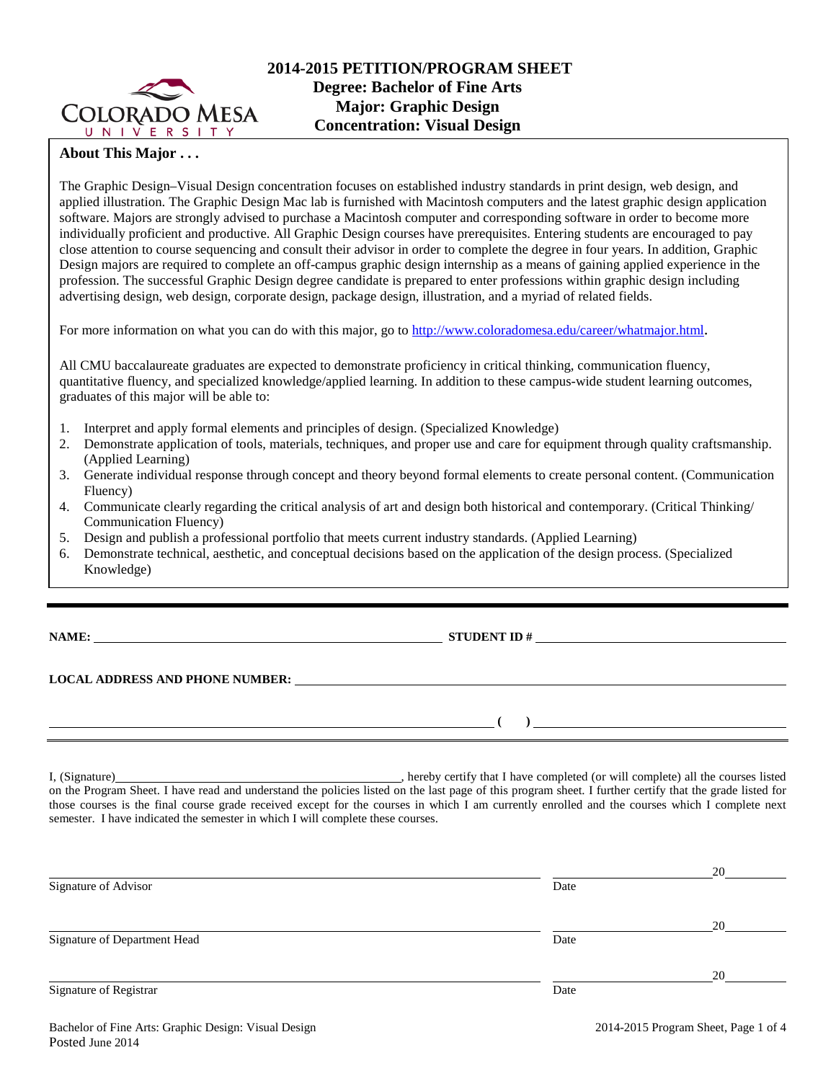

# **About This Major . . .**

The Graphic Design–Visual Design concentration focuses on established industry standards in print design, web design, and applied illustration. The Graphic Design Mac lab is furnished with Macintosh computers and the latest graphic design application software. Majors are strongly advised to purchase a Macintosh computer and corresponding software in order to become more individually proficient and productive. All Graphic Design courses have prerequisites. Entering students are encouraged to pay close attention to course sequencing and consult their advisor in order to complete the degree in four years. In addition, Graphic Design majors are required to complete an off-campus graphic design internship as a means of gaining applied experience in the profession. The successful Graphic Design degree candidate is prepared to enter professions within graphic design including advertising design, web design, corporate design, package design, illustration, and a myriad of related fields.

For more information on what you can do with this major, go to [http://www.coloradomesa.edu/career/whatmajor.html.](http://www.coloradomesa.edu/career/whatmajor.html)

All CMU baccalaureate graduates are expected to demonstrate proficiency in critical thinking, communication fluency, quantitative fluency, and specialized knowledge/applied learning. In addition to these campus-wide student learning outcomes, graduates of this major will be able to:

- 1. Interpret and apply formal elements and principles of design. (Specialized Knowledge)
- 2. Demonstrate application of tools, materials, techniques, and proper use and care for equipment through quality craftsmanship. (Applied Learning)
- 3. Generate individual response through concept and theory beyond formal elements to create personal content. (Communication Fluency)
- 4. Communicate clearly regarding the critical analysis of art and design both historical and contemporary. (Critical Thinking/ Communication Fluency)
- 5. Design and publish a professional portfolio that meets current industry standards. (Applied Learning)
- 6. Demonstrate technical, aesthetic, and conceptual decisions based on the application of the design process. (Specialized Knowledge)

**NAME: STUDENT ID # STUDENT ID # STUDENT ID # STUDENT ID # STUDENT ID # STUDENT ID # STUDENT ID # STUDENT ID # STUDENT ID # STUDENT ID # STUDENT ID # STUDENT ID # STUDENT ID # STUDENT ID # STU** 

**( )** 

**LOCAL ADDRESS AND PHONE NUMBER:**

I, (Signature) , hereby certify that I have completed (or will complete) all the courses listed on the Program Sheet. I have read and understand the policies listed on the last page of this program sheet. I further certify that the grade listed for those courses is the final course grade received except for the courses in which I am currently enrolled and the courses which I complete next semester. I have indicated the semester in which I will complete these courses.

|                              |      | 20 |
|------------------------------|------|----|
| Signature of Advisor         | Date |    |
|                              |      | 20 |
| Signature of Department Head | Date |    |
|                              |      | 20 |
| Signature of Registrar       | Date |    |
|                              |      |    |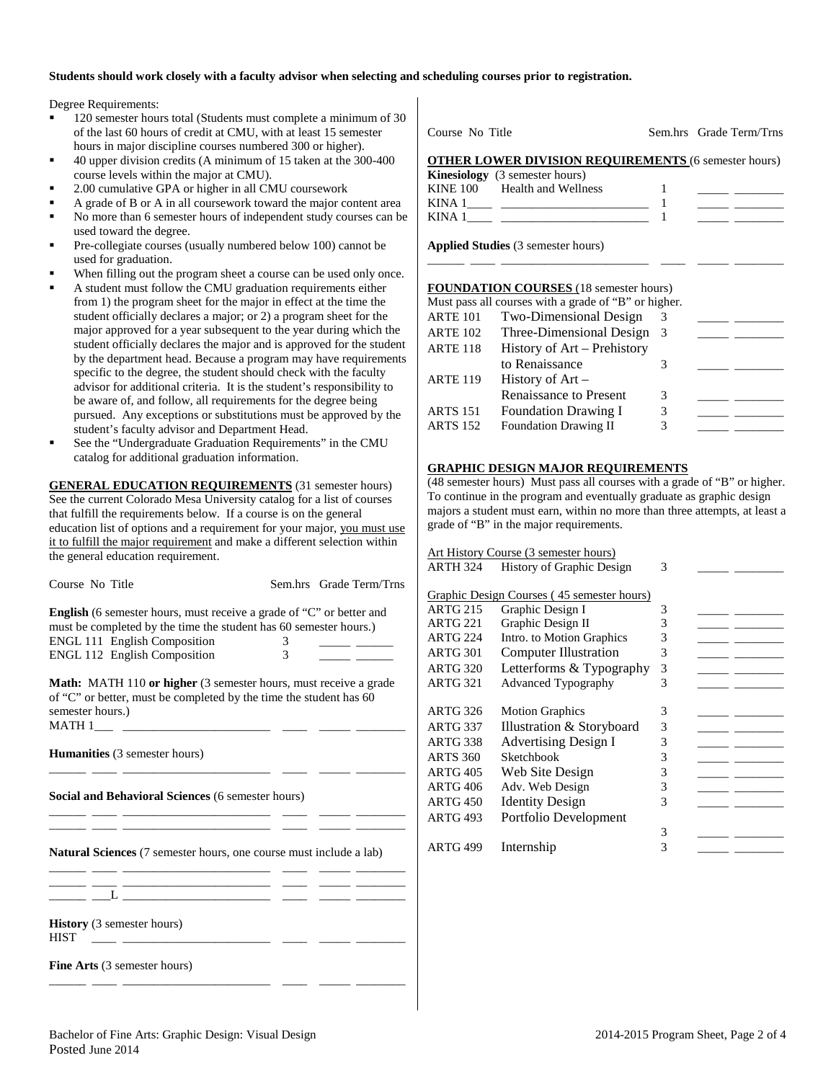#### **Students should work closely with a faculty advisor when selecting and scheduling courses prior to registration.**

Degree Requirements:

- 120 semester hours total (Students must complete a minimum of 30 of the last 60 hours of credit at CMU, with at least 15 semester hours in major discipline courses numbered 300 or higher).
- 40 upper division credits (A minimum of 15 taken at the 300-400 course levels within the major at CMU).
- 2.00 cumulative GPA or higher in all CMU coursework
- A grade of B or A in all coursework toward the major content area
- No more than 6 semester hours of independent study courses can be used toward the degree.
- Pre-collegiate courses (usually numbered below 100) cannot be used for graduation.
- When filling out the program sheet a course can be used only once.
- A student must follow the CMU graduation requirements either from 1) the program sheet for the major in effect at the time the student officially declares a major; or 2) a program sheet for the major approved for a year subsequent to the year during which the student officially declares the major and is approved for the student by the department head. Because a program may have requirements specific to the degree, the student should check with the faculty advisor for additional criteria. It is the student's responsibility to be aware of, and follow, all requirements for the degree being pursued. Any exceptions or substitutions must be approved by the student's faculty advisor and Department Head.
- See the "Undergraduate Graduation Requirements" in the CMU catalog for additional graduation information.

**GENERAL EDUCATION REQUIREMENTS** (31 semester hours) See the current Colorado Mesa University catalog for a list of courses that fulfill the requirements below. If a course is on the general education list of options and a requirement for your major, you must use it to fulfill the major requirement and make a different selection within the general education requirement.

| Course No Title                                                                                                                                  |   | Sem.hrs Grade Term/Trns |
|--------------------------------------------------------------------------------------------------------------------------------------------------|---|-------------------------|
| <b>English</b> (6 semester hours, must receive a grade of "C" or better and<br>must be completed by the time the student has 60 semester hours.) |   |                         |
| ENGL 111 English Composition                                                                                                                     |   |                         |
| <b>ENGL 112 English Composition</b>                                                                                                              | 3 |                         |
| <b>Math:</b> MATH 110 or higher (3 semester hours, must receive a grade<br>of "C" or better, must be completed by the time the student has $60$  |   |                         |

of "C" or better, must be completed by the time the student has 60 semester hours.)  $MATH 1$ <sub>\_\_\_\_\_</sub>\_\_

\_\_\_\_\_\_ \_\_\_\_ \_\_\_\_\_\_\_\_\_\_\_\_\_\_\_\_\_\_\_\_\_\_\_\_ \_\_\_\_ \_\_\_\_\_ \_\_\_\_\_\_\_\_

\_\_\_\_\_\_ \_\_\_\_ \_\_\_\_\_\_\_\_\_\_\_\_\_\_\_\_\_\_\_\_\_\_\_\_ \_\_\_\_ \_\_\_\_\_ \_\_\_\_\_\_\_\_ \_\_\_\_\_\_ \_\_\_\_ \_\_\_\_\_\_\_\_\_\_\_\_\_\_\_\_\_\_\_\_\_\_\_\_ \_\_\_\_ \_\_\_\_\_ \_\_\_\_\_\_\_\_

**Humanities** (3 semester hours)

**Social and Behavioral Sciences** (6 semester hours)

**Natural Sciences** (7 semester hours, one course must include a lab)

\_\_\_\_\_\_ \_\_\_\_ \_\_\_\_\_\_\_\_\_\_\_\_\_\_\_\_\_\_\_\_\_\_\_\_ \_\_\_\_ \_\_\_\_\_ \_\_\_\_\_\_\_\_

| <b>History</b> (3 semester hours) |  |  |
|-----------------------------------|--|--|
| HIST                              |  |  |

**Fine Arts** (3 semester hours)

Course No. Title Sem. hrs Grade Term/Trns

### **OTHER LOWER DIVISION REQUIREMENTS** (6 semester hours)

|          | <b>Kinesiology</b> (3 semester hours) |  |
|----------|---------------------------------------|--|
| KINE 100 | Health and Wellness                   |  |
| KINA 1   |                                       |  |
| KINA 1   |                                       |  |

\_\_\_\_\_\_ \_\_\_\_ \_\_\_\_\_\_\_\_\_\_\_\_\_\_\_\_\_\_\_\_\_\_\_\_ \_\_\_\_ \_\_\_\_\_ \_\_\_\_\_\_\_\_

**Applied Studies** (3 semester hours)

### **FOUNDATION COURSES** (18 semester hours)

|                 | Must pass all courses with a grade of "B" or higher. |   |  |
|-----------------|------------------------------------------------------|---|--|
| <b>ARTE 101</b> | Two-Dimensional Design                               | 3 |  |
| <b>ARTE 102</b> | Three-Dimensional Design                             | 3 |  |
| <b>ARTE 118</b> | History of Art - Prehistory                          |   |  |
|                 | to Renaissance                                       | 3 |  |
| <b>ARTE 119</b> | History of $Art -$                                   |   |  |
|                 | Renaissance to Present                               | 3 |  |
| <b>ARTS</b> 151 | <b>Foundation Drawing I</b>                          | 3 |  |
| <b>ARTS 152</b> | <b>Foundation Drawing II</b>                         | 3 |  |

# **GRAPHIC DESIGN MAJOR REQUIREMENTS**

(48 semester hours) Must pass all courses with a grade of "B" or higher. To continue in the program and eventually graduate as graphic design majors a student must earn, within no more than three attempts, at least a grade of "B" in the major requirements.

|                 | Art History Course (3 semester hours)      |   |  |
|-----------------|--------------------------------------------|---|--|
| <b>ARTH 324</b> | <b>History of Graphic Design</b>           | 3 |  |
|                 |                                            |   |  |
|                 | Graphic Design Courses (45 semester hours) |   |  |
| <b>ARTG 215</b> | Graphic Design I                           | 3 |  |
| ARTG 221        | Graphic Design II                          | 3 |  |
| <b>ARTG 224</b> | Intro. to Motion Graphics                  | 3 |  |
| ARTG 301        | <b>Computer Illustration</b>               | 3 |  |
| <b>ARTG 320</b> | Letterforms & Typography                   | 3 |  |
| ARTG 321        | <b>Advanced Typography</b>                 | 3 |  |
|                 |                                            |   |  |
| <b>ARTG 326</b> | <b>Motion Graphics</b>                     | 3 |  |
| <b>ARTG 337</b> | Illustration & Storyboard                  | 3 |  |
| <b>ARTG 338</b> | <b>Advertising Design I</b>                | 3 |  |
| <b>ARTS 360</b> | Sketchbook                                 | 3 |  |
| ARTG 405        | Web Site Design                            | 3 |  |
| <b>ARTG 406</b> | Adv. Web Design                            | 3 |  |
| <b>ARTG 450</b> | <b>Identity Design</b>                     | 3 |  |
| <b>ARTG 493</b> | Portfolio Development                      |   |  |
|                 |                                            | 3 |  |
| <b>ARTG 499</b> | Internship                                 | 3 |  |
|                 |                                            |   |  |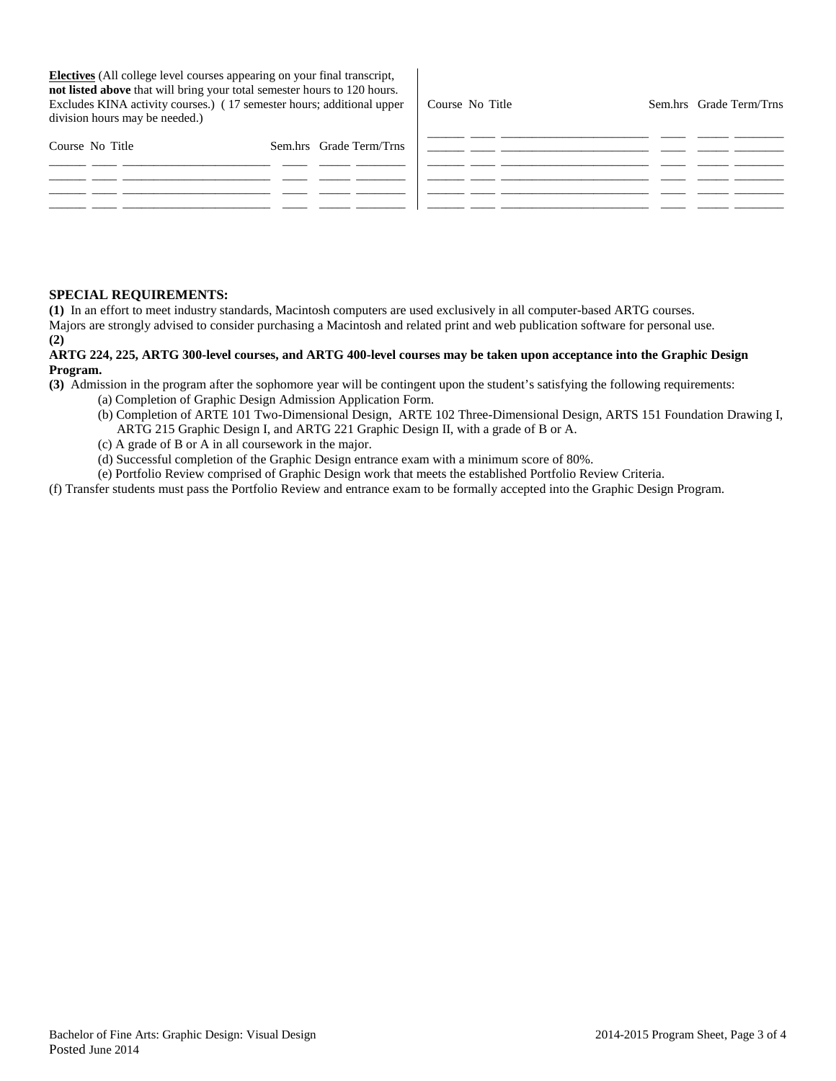**Electives** (All college level courses appearing on your final transcript, **not listed above** that will bring your total semester hours to 120 hours. Excludes KINA activity courses.) ( 17 semester hours; additional upper division hours may be needed.)

| Course No Title | Sem.hrs Grade Term/Trns |
|-----------------|-------------------------|
|                 |                         |

| Course No Title | Sem.hrs Grade Term/Trns |  |  |
|-----------------|-------------------------|--|--|
|                 |                         |  |  |
|                 |                         |  |  |
|                 |                         |  |  |
|                 |                         |  |  |

### **SPECIAL REQUIREMENTS:**

**(1)** In an effort to meet industry standards, Macintosh computers are used exclusively in all computer-based ARTG courses. Majors are strongly advised to consider purchasing a Macintosh and related print and web publication software for personal use. **(2)**

# **ARTG 224, 225, ARTG 300-level courses, and ARTG 400-level courses may be taken upon acceptance into the Graphic Design Program.**

**(3)** Admission in the program after the sophomore year will be contingent upon the student's satisfying the following requirements:

- (a) Completion of Graphic Design Admission Application Form.
- (b) Completion of ARTE 101 Two-Dimensional Design, ARTE 102 Three-Dimensional Design, ARTS 151 Foundation Drawing I, ARTG 215 Graphic Design I, and ARTG 221 Graphic Design II, with a grade of B or A.
- (c) A grade of B or A in all coursework in the major.
- (d) Successful completion of the Graphic Design entrance exam with a minimum score of 80%.

(e) Portfolio Review comprised of Graphic Design work that meets the established Portfolio Review Criteria.

(f) Transfer students must pass the Portfolio Review and entrance exam to be formally accepted into the Graphic Design Program.